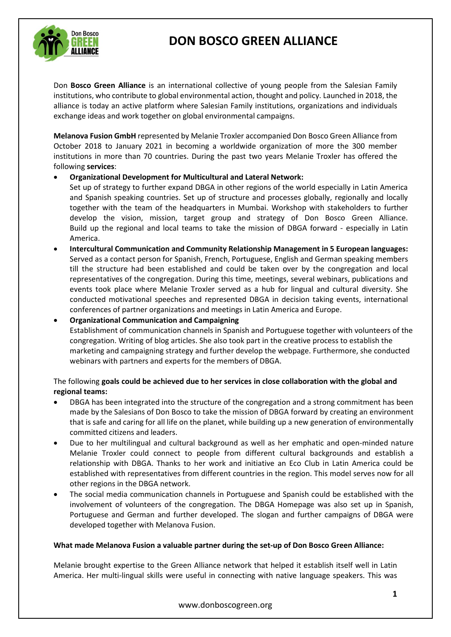# **DON BOSCO GREEN ALLIANCE**



Don **Bosco Green Alliance** is an international collective of young people from the Salesian Family institutions, who contribute to global environmental action, thought and policy. Launched in 2018, the alliance is today an active platform where Salesian Family institutions, organizations and individuals exchange ideas and work together on global environmental campaigns.

**Melanova Fusion GmbH** represented by Melanie Troxler accompanied Don Bosco Green Alliance from October 2018 to January 2021 in becoming a worldwide organization of more the 300 member institutions in more than 70 countries. During the past two years Melanie Troxler has offered the following **services**:

### • **Organizational Development for Multicultural and Lateral Network:**

Set up of strategy to further expand DBGA in other regions of the world especially in Latin America and Spanish speaking countries. Set up of structure and processes globally, regionally and locally together with the team of the headquarters in Mumbai. Workshop with stakeholders to further develop the vision, mission, target group and strategy of Don Bosco Green Alliance. Build up the regional and local teams to take the mission of DBGA forward - especially in Latin America.

- **Intercultural Communication and Community Relationship Management in 5 European languages:**  Served as a contact person for Spanish, French, Portuguese, English and German speaking members till the structure had been established and could be taken over by the congregation and local representatives of the congregation. During this time, meetings, several webinars, publications and events took place where Melanie Troxler served as a hub for lingual and cultural diversity. She conducted motivational speeches and represented DBGA in decision taking events, international conferences of partner organizations and meetings in Latin America and Europe.
- **Organizational Communication and Campaigning** Establishment of communication channels in Spanish and Portuguese together with volunteers of the congregation. Writing of blog articles. She also took part in the creative process to establish the marketing and campaigning strategy and further develop the webpage. Furthermore, she conducted webinars with partners and experts for the members of DBGA.

#### The following **goals could be achieved due to her services in close collaboration with the global and regional teams:**

- DBGA has been integrated into the structure of the congregation and a strong commitment has been made by the Salesians of Don Bosco to take the mission of DBGA forward by creating an environment that is safe and caring for all life on the planet, while building up a new generation of environmentally committed citizens and leaders.
- Due to her multilingual and cultural background as well as her emphatic and open-minded nature Melanie Troxler could connect to people from different cultural backgrounds and establish a relationship with DBGA. Thanks to her work and initiative an Eco Club in Latin America could be established with representatives from different countries in the region. This model serves now for all other regions in the DBGA network.
- The social media communication channels in Portuguese and Spanish could be established with the involvement of volunteers of the congregation. The DBGA Homepage was also set up in Spanish, Portuguese and German and further developed. The slogan and further campaigns of DBGA were developed together with Melanova Fusion.

#### **What made Melanova Fusion a valuable partner during the set-up of Don Bosco Green Alliance:**

Melanie brought expertise to the Green Alliance network that helped it establish itself well in Latin America. Her multi-lingual skills were useful in connecting with native language speakers. This was